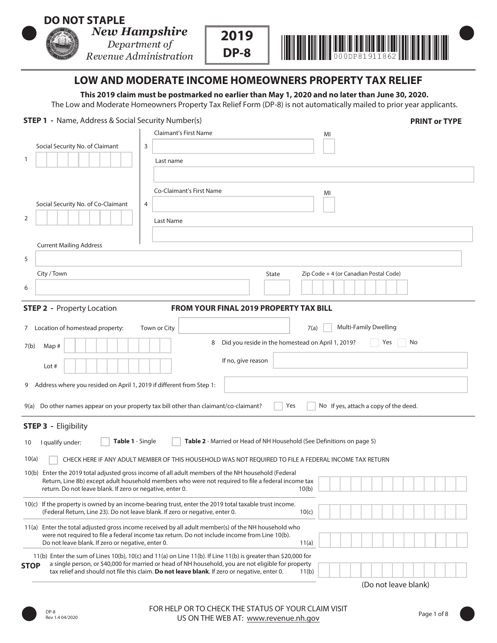# **DO NOT STAPLE**

- 

Department of Revenue Administration





# **LOW AND MODERATE INCOME HOMEOWNERS PROPERTY TAX RELIEF**

**This 2019 claim must be postmarked no earlier than May 1, 2020 and no later than June 30, 2020.**  The Low and Moderate Homeowners Property Tax Relief Form (DP-8) is not automatically mailed to prior year applicants.

### **STEP 1** - Name, Address & Social Security Number(s) **PRINT or TYPE**

| <b>Claimant's First Name</b><br>MI                                                                                                                                                                                          |  |
|-----------------------------------------------------------------------------------------------------------------------------------------------------------------------------------------------------------------------------|--|
| Social Security No. of Claimant<br>3                                                                                                                                                                                        |  |
| 1<br>Last name                                                                                                                                                                                                              |  |
|                                                                                                                                                                                                                             |  |
| <b>Co-Claimant's First Name</b>                                                                                                                                                                                             |  |
| MI<br>Social Security No. of Co-Claimant<br>4                                                                                                                                                                               |  |
| 2                                                                                                                                                                                                                           |  |
| Last Name                                                                                                                                                                                                                   |  |
| <b>Current Mailing Address</b>                                                                                                                                                                                              |  |
| 5                                                                                                                                                                                                                           |  |
|                                                                                                                                                                                                                             |  |
| City / Town<br>State<br>Zip Code + 4 (or Canadian Postal Code)                                                                                                                                                              |  |
| 6                                                                                                                                                                                                                           |  |
| <b>STEP 2 - Property Location</b><br><b>FROM YOUR FINAL 2019 PROPERTY TAX BILL</b>                                                                                                                                          |  |
| <b>Multi-Family Dwelling</b><br>7 Location of homestead property:<br>Town or City<br>7(a)                                                                                                                                   |  |
| Yes<br>Did you reside in the homestead on April 1, 2019?<br>No<br>8                                                                                                                                                         |  |
| 7(b)<br>Map#                                                                                                                                                                                                                |  |
| If no, give reason<br>Lot $#$                                                                                                                                                                                               |  |
| Address where you resided on April 1, 2019 if different from Step 1:<br>9                                                                                                                                                   |  |
| Yes<br>Do other names appear on your property tax bill other than claimant/co-claimant?<br>No If yes, attach a copy of the deed.<br>9(a)                                                                                    |  |
| <b>STEP 3 - Eligibility</b>                                                                                                                                                                                                 |  |
| <b>Table 1 - Single</b><br>Table 2 - Married or Head of NH Household (See Definitions on page 5)<br>I qualify under:<br>10                                                                                                  |  |
| 10(a)<br>CHECK HERE IF ANY ADULT MEMBER OF THIS HOUSEHOLD WAS NOT REQUIRED TO FILE A FEDERAL INCOME TAX RETURN                                                                                                              |  |
| 10(b) Enter the 2019 total adjusted gross income of all adult members of the NH household (Federal                                                                                                                          |  |
| Return, Line 8b) except adult household members who were not required to file a federal income tax<br>return. Do not leave blank. If zero or negative, enter 0.                                                             |  |
| 10(b)                                                                                                                                                                                                                       |  |
| 10(c) If the property is owned by an income-bearing trust, enter the 2019 total taxable trust income.<br>(Federal Return, Line 23). Do not leave blank. If zero or negative, enter 0.<br>10(c)                              |  |
| 11(a) Enter the total adjusted gross income received by all adult member(s) of the NH household who                                                                                                                         |  |
| were not required to file a federal income tax return. Do not include income from Line 10(b).<br>Do not leave blank. If zero or negative, enter 0.<br>11(a)                                                                 |  |
| 11(b) Enter the sum of Lines 10(b), 10(c) and 11(a) on Line 11(b). If Line 11(b) is greater than \$20,000 for                                                                                                               |  |
| a single person, or \$40,000 for married or head of NH household, you are not eligible for property<br><b>STOP</b><br>tax relief and should not file this claim. Do not leave blank. If zero or negative, enter 0.<br>11(b) |  |
| (Do not leave blank)                                                                                                                                                                                                        |  |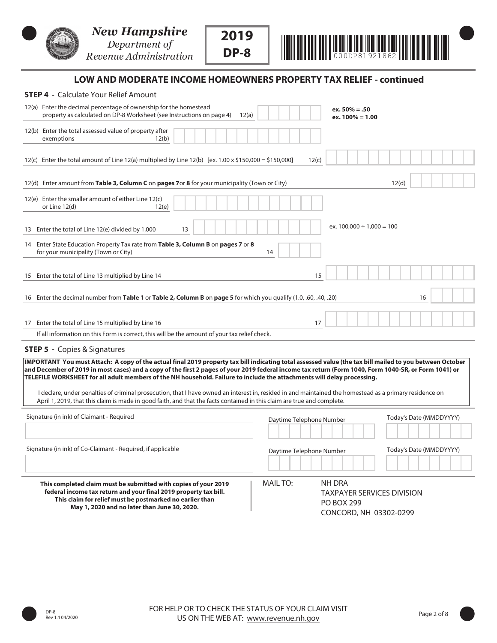

 



# **LOW AND MODERATE INCOME HOMEOWNERS PROPERTY TAX RELIEF - continued**

**2019** 

**DP-8**

| <b>STEP 4 - Calculate Your Relief Amount</b>                                                                                                                                                                                                                                                                                                                                                                                                                                                                                                                                                                                                                                                                                       |                                                                                                        |
|------------------------------------------------------------------------------------------------------------------------------------------------------------------------------------------------------------------------------------------------------------------------------------------------------------------------------------------------------------------------------------------------------------------------------------------------------------------------------------------------------------------------------------------------------------------------------------------------------------------------------------------------------------------------------------------------------------------------------------|--------------------------------------------------------------------------------------------------------|
| 12(a) Enter the decimal percentage of ownership for the homestead<br>property as calculated on DP-8 Worksheet (see Instructions on page 4)<br>12(a)                                                                                                                                                                                                                                                                                                                                                                                                                                                                                                                                                                                | $ex.50\% = .50$<br>$ex. 100\% = 1.00$                                                                  |
| 12(b) Enter the total assessed value of property after<br>exemptions<br>12(b)                                                                                                                                                                                                                                                                                                                                                                                                                                                                                                                                                                                                                                                      |                                                                                                        |
| 12(c) Enter the total amount of Line 12(a) multiplied by Line 12(b) [ex. 1.00 x \$150,000 = \$150,000]                                                                                                                                                                                                                                                                                                                                                                                                                                                                                                                                                                                                                             | 12(c)                                                                                                  |
| 12(d) Enter amount from Table 3, Column C on pages 7or 8 for your municipality (Town or City)                                                                                                                                                                                                                                                                                                                                                                                                                                                                                                                                                                                                                                      | 12(d)                                                                                                  |
| 12(e) Enter the smaller amount of either Line 12(c)<br>or Line 12(d)<br>12(e)                                                                                                                                                                                                                                                                                                                                                                                                                                                                                                                                                                                                                                                      |                                                                                                        |
| 13 Enter the total of Line 12(e) divided by 1,000<br>13                                                                                                                                                                                                                                                                                                                                                                                                                                                                                                                                                                                                                                                                            | ex. $100,000 \div 1,000 = 100$                                                                         |
| 14 Enter State Education Property Tax rate from Table 3, Column B on pages 7 or 8<br>for your municipality (Town or City)                                                                                                                                                                                                                                                                                                                                                                                                                                                                                                                                                                                                          | 14                                                                                                     |
| 15 Enter the total of Line 13 multiplied by Line 14                                                                                                                                                                                                                                                                                                                                                                                                                                                                                                                                                                                                                                                                                | 15                                                                                                     |
| 16 Enter the decimal number from Table 1 or Table 2, Column B on page 5 for which you qualify (1.0, .60, .40, .20)                                                                                                                                                                                                                                                                                                                                                                                                                                                                                                                                                                                                                 | 16                                                                                                     |
| 17 Enter the total of Line 15 multiplied by Line 16                                                                                                                                                                                                                                                                                                                                                                                                                                                                                                                                                                                                                                                                                | 17                                                                                                     |
| If all information on this Form is correct, this will be the amount of your tax relief check.                                                                                                                                                                                                                                                                                                                                                                                                                                                                                                                                                                                                                                      |                                                                                                        |
| <b>STEP 5 - Copies &amp; Signatures</b>                                                                                                                                                                                                                                                                                                                                                                                                                                                                                                                                                                                                                                                                                            |                                                                                                        |
| IMPORTANT You must Attach: A copy of the actual final 2019 property tax bill indicating total assessed value (the tax bill mailed to you between October<br>and December of 2019 in most cases) and a copy of the first 2 pages of your 2019 federal income tax return (Form 1040, Form 1040-SR, or Form 1041) or<br>TELEFILE WORKSHEET for all adult members of the NH household. Failure to include the attachments will delay processing.<br>I declare, under penalties of criminal prosecution, that I have owned an interest in, resided in and maintained the homestead as a primary residence on<br>April 1, 2019, that this claim is made in good faith, and that the facts contained in this claim are true and complete. |                                                                                                        |
| Signature (in ink) of Claimant - Required                                                                                                                                                                                                                                                                                                                                                                                                                                                                                                                                                                                                                                                                                          | Today's Date (MMDDYYYY)<br>Daytime Telephone Number                                                    |
|                                                                                                                                                                                                                                                                                                                                                                                                                                                                                                                                                                                                                                                                                                                                    |                                                                                                        |
| Signature (in ink) of Co-Claimant - Required, if applicable                                                                                                                                                                                                                                                                                                                                                                                                                                                                                                                                                                                                                                                                        | Today's Date (MMDDYYYY)<br>Daytime Telephone Number                                                    |
| This completed claim must be submitted with copies of your 2019<br>federal income tax return and your final 2019 property tax bill.<br>This claim for relief must be postmarked no earlier than<br>May 1, 2020 and no later than June 30, 2020.                                                                                                                                                                                                                                                                                                                                                                                                                                                                                    | MAIL TO:<br>NH DRA<br><b>TAXPAYER SERVICES DIVISION</b><br><b>PO BOX 299</b><br>CONCORD, NH 03302-0299 |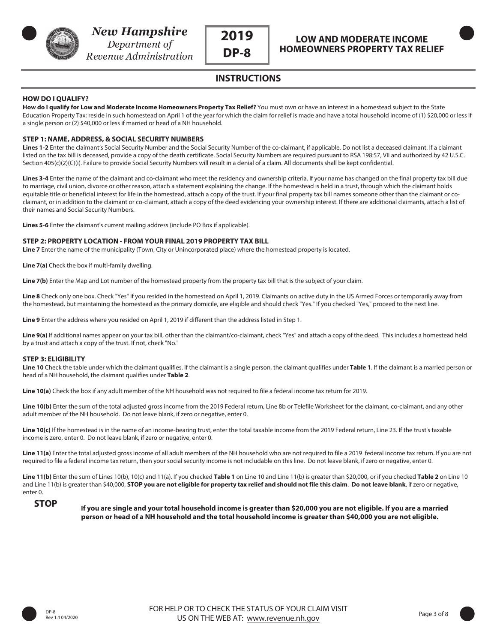



**INSTRUCTIONS**

### **HOW DO I QUALIFY?**

**How do I qualify for Low and Moderate Income Homeowners Property Tax Relief?** You must own or have an interest in a homestead subject to the State Education Property Tax; reside in such homestead on April 1 of the year for which the claim for relief is made and have a total household income of (1) \$20,000 or less if a single person or (2) \$40,000 or less if married or head of a NH household.

#### **STEP 1: NAME, ADDRESS, & SOCIAL SECURITY NUMBERS**

Lines 1-2 Enter the claimant's Social Security Number and the Social Security Number of the co-claimant, if applicable. Do not list a deceased claimant. If a claimant listed on the tax bill is deceased, provide a copy of the death certificate. Social Security Numbers are required pursuant to RSA 198:57, VII and authorized by 42 U.S.C. Section 405(c)(2)(C)(i). Failure to provide Social Security Numbers will result in a denial of a claim. All documents shall be kept confidential.

**Lines 3-4** Enter the name of the claimant and co-claimant who meet the residency and ownership criteria. If your name has changed on the final property tax bill due to marriage, civil union, divorce or other reason, attach a statement explaining the change. If the homestead is held in a trust, through which the claimant holds equitable title or beneficial interest for life in the homestead, attach a copy of the trust. If your final property tax bill names someone other than the claimant or coclaimant, or in addition to the claimant or co-claimant, attach a copy of the deed evidencing your ownership interest. If there are additional claimants, attach a list of their names and Social Security Numbers.

**Lines 5-6** Enter the claimant's current mailing address (include PO Box if applicable).

#### **STEP 2: PROPERTY LOCATION - FROM YOUR FINAL 2019 PROPERTY TAX BILL**

**Line 7** Enter the name of the municipality (Town, City or Unincorporated place) where the homestead property is located.

**Line 7(a)** Check the box if multi-family dwelling.

Line 7(b) Enter the Map and Lot number of the homestead property from the property tax bill that is the subject of your claim.

**Line 8** Check only one box. Check "Yes" if you resided in the homestead on April 1, 2019. Claimants on active duty in the US Armed Forces or temporarily away from the homestead, but maintaining the homestead as the primary domicile, are eligible and should check "Yes." If you checked "Yes," proceed to the next line.

**Line 9** Enter the address where you resided on April 1, 2019 if different than the address listed in Step 1.

Line 9(a) If additional names appear on your tax bill, other than the claimant/co-claimant, check "Yes" and attach a copy of the deed. This includes a homestead held by a trust and attach a copy of the trust. If not, check "No."

#### **STEP 3: ELIGIBILITY**

**Line 10** Check the table under which the claimant qualifies. If the claimant is a single person, the claimant qualifies under **Table 1**. If the claimant is a married person or head of a NH household, the claimant qualifies under **Table 2**.

**Line 10(a)** Check the box if any adult member of the NH household was not required to file a federal income tax return for 2019.

Line 10(b) Enter the sum of the total adjusted gross income from the 2019 Federal return, Line 8b or Telefile Worksheet for the claimant, co-claimant, and any other adult member of the NH household. Do not leave blank, if zero or negative, enter 0.

Line 10(c) If the homestead is in the name of an income-bearing trust, enter the total taxable income from the 2019 Federal return, Line 23. If the trust's taxable income is zero, enter 0. Do not leave blank, if zero or negative, enter 0.

**Line 11(a)** Enter the total adjusted gross income of all adult members of the NH household who are not required to file a 2019 federal income tax return. If you are not required to file a federal income tax return, then your social security income is not includable on this line. Do not leave blank, if zero or negative, enter 0.

**Line 11(b)** Enter the sum of Lines 10(b), 10(c) and 11(a). If you checked **Table 1** on Line 10 and Line 11(b) is greater than \$20,000, or if you checked **Table 2** on Line 10 and Line 11(b) is greater than \$40,000, **STOP you are not eligible for property tax relief and should not file this claim**. **Do not leave blank**, if zero or negative, enter 0.

### **STOP**

 **If you are single and your total household income is greater than \$20,000 you are not eligible. If you are a married person or head of a NH household and the total household income is greater than \$40,000 you are not eligible.**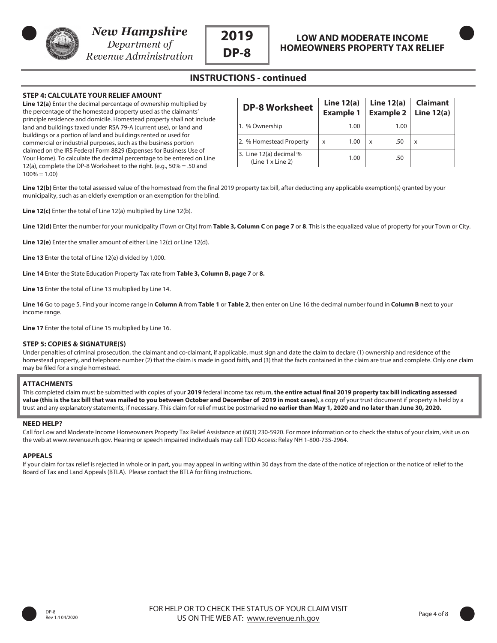

Revenue Administration

### **INSTRUCTIONS - continued**

#### **STEP 4: CALCULATE YOUR RELIEF AMOUNT**

**Line 12(a)** Enter the decimal percentage of ownership multiplied by the percentage of the homestead property used as the claimants' principle residence and domicile. Homestead property shall not include land and buildings taxed under RSA 79-A (current use), or land and buildings or a portion of land and buildings rented or used for commercial or industrial purposes, such as the business portion claimed on the IRS Federal Form 8829 (Expenses for Business Use of Your Home). To calculate the decimal percentage to be entered on Line 12(a), complete the DP-8 Worksheet to the right. (e.g., 50% = .50 and  $100\% = 1.00$ 

| <b>DP-8 Worksheet</b>                        |   | Line $12(a)$     |   | Line $12(a)$     | <b>Claimant</b> |
|----------------------------------------------|---|------------------|---|------------------|-----------------|
|                                              |   | <b>Example 1</b> |   | <b>Example 2</b> | Line $12(a)$    |
| 1. % Ownership                               |   | 1.00             |   | 1.00             |                 |
| 2. % Homestead Property                      | x | 1.00             | x | .50              | x               |
| 3. Line 12(a) decimal %<br>(Line 1 x Line 2) |   | 1.00             |   | .50              |                 |

Line 12(b) Enter the total assessed value of the homestead from the final 2019 property tax bill, after deducting any applicable exemption(s) granted by your municipality, such as an elderly exemption or an exemption for the blind.

**Line 12(c)** Enter the total of Line 12(a) multiplied by Line 12(b).

**Line 12(d)** Enter the number for your municipality (Town or City) from **Table 3, Column C** on **page 7** or **8**. This is the equalized value of property for your Town or City.

**Line 12(e)** Enter the smaller amount of either Line 12(c) or Line 12(d).

**Line 13** Enter the total of Line 12(e) divided by 1,000.

**Line 14** Enter the State Education Property Tax rate from **Table 3, Column B, page 7** or **8.**

**Line 15** Enter the total of Line 13 multiplied by Line 14.

**Line 16** Go to page 5. Find your income range in **Column A** from **Table 1** or **Table 2**, then enter on Line 16 the decimal number found in **Column B** next to your income range.

**Line 17** Enter the total of Line 15 multiplied by Line 16.

#### **STEP 5: COPIES & SIGNATURE(S)**

Under penalties of criminal prosecution, the claimant and co-claimant, if applicable, must sign and date the claim to declare (1) ownership and residence of the homestead property, and telephone number (2) that the claim is made in good faith, and (3) that the facts contained in the claim are true and complete. Only one claim may be filed for a single homestead.

#### **ATTACHMENTS**

l

j

This completed claim must be submitted with copies of your **2019** federal income tax return, **the entire actual final 2019 property tax bill indicating assessed value (this is the tax bill that was mailed to you between October and December of 2019 in most cases)**, a copy of your trust document if property is held by a trust and any explanatory statements, if necessary. This claim for relief must be postmarked **no earlier than May 1, 2020 and no later than June 30, 2020.**

#### **NEED HELP?**

Call for Low and Moderate Income Homeowners Property Tax Relief Assistance at (603) 230-5920. For more information or to check the status of your claim, visit us on the web at www.revenue.nh.gov. Hearing or speech impaired individuals may call TDD Access: Relay NH 1-800-735-2964.

#### **APPEALS**

If your claim for tax relief is rejected in whole or in part, you may appeal in writing within 30 days from the date of the notice of rejection or the notice of relief to the Board of Tax and Land Appeals (BTLA). Please contact the BTLA for filing instructions.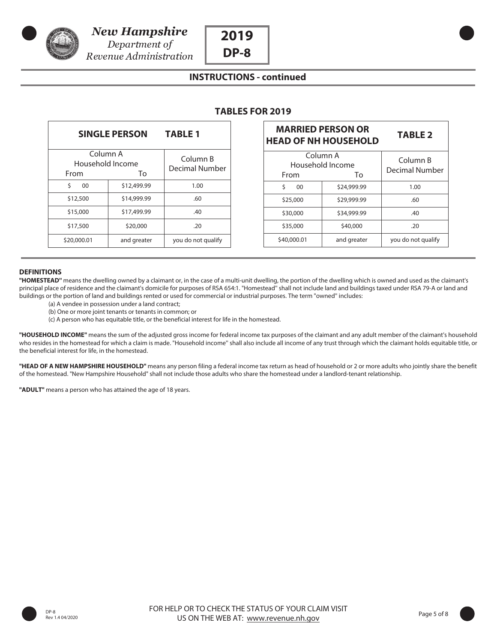



## **INSTRUCTIONS - continued**

| <b>SINGLE PERSON</b>                 | <b>TABLE 1</b> |                            |
|--------------------------------------|----------------|----------------------------|
| Column A<br>Household Income<br>From | Tο             | Column B<br>Decimal Number |
| Ś<br>00                              | \$12,499.99    | 1.00                       |
| \$12,500                             | \$14,999.99    | .60                        |
| \$15,000                             | \$17,499.99    | .40                        |
| \$17,500                             | \$20,000       | .20                        |
| \$20,000.01                          | and greater    | you do not qualify         |

| <b>MARRIED PERSON OR</b><br><b>HEAD OF NH HOUSEHOLD</b> | <b>TABLE 2</b>             |                    |
|---------------------------------------------------------|----------------------------|--------------------|
| Column A<br>Household Income<br>From                    | Column B<br>Decimal Number |                    |
| Ś<br>00                                                 | To<br>\$24,999.99          | 1.00               |
| \$25,000                                                | \$29,999.99                | .60                |
| \$30,000                                                | \$34,999.99                | .40                |
| \$35,000                                                | \$40,000                   | .20                |
| \$40,000.01                                             | and greater                | you do not qualify |

#### **DEFINITIONS**

**"HOMESTEAD''** means the dwelling owned by a claimant or, in the case of a multi-unit dwelling, the portion of the dwelling which is owned and used as the claimant's principal place of residence and the claimant's domicile for purposes of RSA 654:1. "Homestead'' shall not include land and buildings taxed under RSA 79-A or land and buildings or the portion of land and buildings rented or used for commercial or industrial purposes. The term "owned'' includes:

- (a) A vendee in possession under a land contract;
- (b) One or more joint tenants or tenants in common; or
- (c) A person who has equitable title, or the beneficial interest for life in the homestead.

**"HOUSEHOLD INCOME''** means the sum of the adjusted gross income for federal income tax purposes of the claimant and any adult member of the claimant's household who resides in the homestead for which a claim is made. "Household income'' shall also include all income of any trust through which the claimant holds equitable title, or the beneficial interest for life, in the homestead.

**"HEAD OF A NEW HAMPSHIRE HOUSEHOLD"** means any person filing a federal income tax return as head of household or 2 or more adults who jointly share the benefit of the homestead. "New Hampshire Household" shall not include those adults who share the homestead under a landlord-tenant relationship.

**"ADULT"** means a person who has attained the age of 18 years.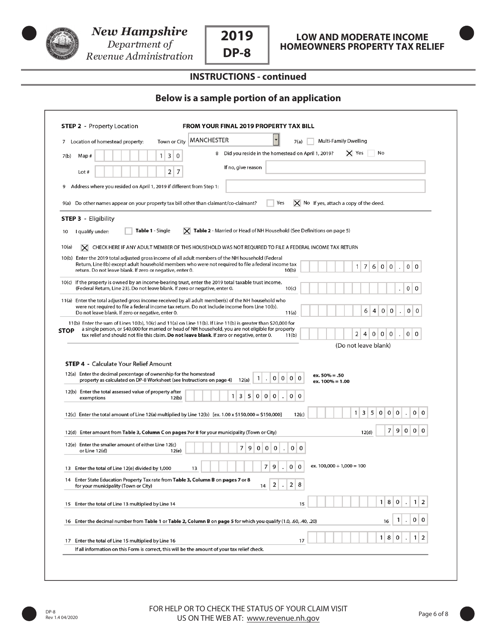



# **LOW AND MODERATE INCOME HOMEOWNERS PROPERTY TAX RELIEF**

# **INSTRUCTIONS - continued**

### **Below is a sample portion of an application**

|             | MANCHESTER<br><b>Multi-Family Dwelling</b><br>Town or City<br>7(a)<br>Location of homestead property:                                                                                                                                                                                                                                                                                            |
|-------------|--------------------------------------------------------------------------------------------------------------------------------------------------------------------------------------------------------------------------------------------------------------------------------------------------------------------------------------------------------------------------------------------------|
| 7(b)        | X Yes<br>8 Did you reside in the homestead on April 1, 2019?<br>No<br>3<br>0<br>Map#<br>1                                                                                                                                                                                                                                                                                                        |
|             | If no, give reason<br>2<br>7<br>Lot #                                                                                                                                                                                                                                                                                                                                                            |
| 9           | Address where you resided on April 1, 2019 if different from Step 1:                                                                                                                                                                                                                                                                                                                             |
|             | $\mathsf{\times}$ No If yes, attach a copy of the deed.<br>Yes<br>9(a) Do other names appear on your property tax bill other than claimant/co-claimant?                                                                                                                                                                                                                                          |
|             | <b>STEP 3 - Eligibility</b>                                                                                                                                                                                                                                                                                                                                                                      |
| 10          | $ \mathbf{X} $ Table 2 - Married or Head of NH Household (See Definitions on page 5)<br><b>Table 1</b> - Single<br>I qualify under:                                                                                                                                                                                                                                                              |
| 10(a)       | $\mathsf{X}\!\!\!\mathsf{I}\,$ CHECK HERE IF ANY ADULT MEMBER OF THIS HOUSEHOLD WAS NOT REQUIRED TO FILE A FEDERAL INCOME TAX RETURN                                                                                                                                                                                                                                                             |
|             | 10(b) Enter the 2019 total adjusted gross income of all adult members of the NH household (Federal<br>Return, Line 8b) except adult household members who were not required to file a federal income tax<br>7<br>$\mathbf{1}$<br>6<br>0 <sup>1</sup><br>0<br>0 <sup>1</sup><br>0<br>$\ddot{\phantom{0}}$<br>return. Do not leave blank. If zero or negative, enter 0.<br>10(b)                   |
|             | 10(c) If the property is owned by an income-bearing trust, enter the 2019 total taxable trust income.<br>(Federal Return, Line 23). Do not leave blank. If zero or negative, enter 0.<br>0<br>10(c)<br>0                                                                                                                                                                                         |
|             | 11(a) Enter the total adjusted gross income received by all adult member(s) of the NH household who<br>were not required to file a federal income tax return. Do not include income from Line 10(b).<br>6<br>4<br>0<br>0<br>0<br>0<br>Do not leave blank. If zero or negative, enter 0.<br>11(a)                                                                                                 |
|             |                                                                                                                                                                                                                                                                                                                                                                                                  |
|             | 11(b) Enter the sum of Lines 10(b), 10(c) and 11(a) on Line 11(b). If Line 11(b) is greater than \$20,000 for<br>a single person, or \$40,000 for married or head of NH household, you are not eligible for property<br>2 <sup>1</sup><br>4<br>0<br>$\circ$<br>0<br>$\overline{0}$<br>0<br>tax relief and should not file this claim. Do not leave blank. If zero or negative, enter 0.<br>11(b) |
|             | (Do not leave blank)                                                                                                                                                                                                                                                                                                                                                                             |
| <b>STOP</b> |                                                                                                                                                                                                                                                                                                                                                                                                  |
|             | <b>STEP 4 - Calculate Your Relief Amount</b><br>12(a) Enter the decimal percentage of ownership for the homestead<br>$ex.50\% = .50$                                                                                                                                                                                                                                                             |
|             | $\mathbf{0}$<br>0<br>0<br>0<br>$\mathbf{1}$<br>property as calculated on DP-8 Worksheet (see Instructions on page 4)<br>12(a)<br>$\cdot$<br>ex. 100% = 1.00                                                                                                                                                                                                                                      |
|             | 12(b) Enter the total assessed value of property after<br>3<br>5<br>0<br>0<br>0<br>0 0<br>$\mathbf{1}$<br>exemptions<br>12(b)                                                                                                                                                                                                                                                                    |
|             | 5<br>$\mathbf{1}$<br>3<br>0<br>0<br>0<br>0<br>0<br>12(c) Enter the total amount of Line 12(a) multiplied by Line 12(b) [ex. 1.00 x \$150,000 = \$150,000]<br>12(c)                                                                                                                                                                                                                               |
|             | 9<br>0 0<br>7<br>0<br>12(d) Enter amount from Table 3, Column C on pages 7or 8 for your municipality (Town or City)<br>12(d)                                                                                                                                                                                                                                                                     |
|             | 12(e) Enter the smaller amount of either Line 12(c)<br>7<br>9<br>$\mathbf 0$<br>0<br>0<br>0<br>$\mathbf 0$<br>or Line 12(d)<br>12(e)                                                                                                                                                                                                                                                             |
|             | ex. $100,000 \div 1,000 = 100$<br>7<br>9<br>0<br>0<br>13 Enter the total of Line 12(e) divided by 1,000<br>13                                                                                                                                                                                                                                                                                    |
| 14          | Enter State Education Property Tax rate from Table 3, Column B on pages 7 or 8<br>2<br>2<br>8<br>for your municipality (Town or City)<br>14<br>$\bullet$                                                                                                                                                                                                                                         |
|             | 1 <sup>1</sup><br>8<br>$1 \mid 2$<br>0<br>15 Enter the total of Line 13 multiplied by Line 14<br>15                                                                                                                                                                                                                                                                                              |
|             | 0   0<br>$\mathbf{1}$<br>16, .00, .00, .00, .00, .10, Enter the decimal number from Table 1 or Table 2, Column B on page 5 for which you qualify (1.0, .60, .40, .20)<br>$\cdot$<br>16                                                                                                                                                                                                           |
|             | 8<br>2<br>$\mathbf{1}$<br>0<br>1<br>17<br>17 Enter the total of Line 15 multiplied by Line 16                                                                                                                                                                                                                                                                                                    |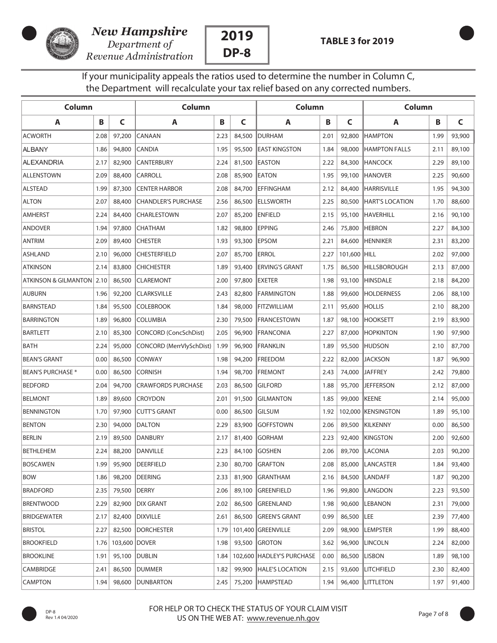

Revenue Administration



If your municipality appeals the ratios used to determine the number in Column C, the Department will recalculate your tax relief based on any corrected numbers.

| Column                      |      |               | Column                       |      |        | Column                    |      |              | Column                 |      |        |
|-----------------------------|------|---------------|------------------------------|------|--------|---------------------------|------|--------------|------------------------|------|--------|
| A                           | В    | C             | A                            | B    | C      | A                         | В    | C            | A                      | B    | C      |
| <b>ACWORTH</b>              | 2.08 | 97,200        | CANAAN                       | 2.23 | 84,500 | <b>IDURHAM</b>            | 2.01 | 92,800       | <b>HAMPTON</b>         | 1.99 | 93,900 |
| <b>ALBANY</b>               | 1.86 | 94,800        | <b>CANDIA</b>                | 1.95 | 95,500 | <b>IEAST KINGSTON</b>     | 1.84 | 98,000       | <b>HAMPTON FALLS</b>   | 2.11 | 89,100 |
| ALEXANDRIA                  | 2.17 | 82,900        | <b>CANTERBURY</b>            | 2.24 |        | 81,500 EASTON             | 2.22 | 84,300       | <b>HANCOCK</b>         | 2.29 | 89,100 |
| ALLENSTOWN                  | 2.09 | 88,400        | <b>CARROLL</b>               | 2.08 | 85,900 | <b>IEATON</b>             | 1.95 | 99,100       | <b>HANOVER</b>         | 2.25 | 90,600 |
| <b>ALSTEAD</b>              | 1.99 | 87,300        | <b>CENTER HARBOR</b>         | 2.08 | 84,700 | <b>IEFFINGHAM</b>         | 2.12 | 84,400       | <b>HARRISVILLE</b>     | 1.95 | 94,300 |
| <b>ALTON</b>                | 2.07 | 88,400        | <b>CHANDLER'S PURCHASE</b>   | 2.56 | 86,500 | <b>IELLSWORTH</b>         | 2.25 | 80,500       | <b>HART'S LOCATION</b> | 1.70 | 88,600 |
| <b>AMHERST</b>              | 2.24 | 84,400        | <b>CHARLESTOWN</b>           | 2.07 | 85,200 | <b>ENFIELD</b>            | 2.15 | 95,100       | <b>HAVERHILL</b>       | 2.16 | 90,100 |
| <b>ANDOVER</b>              | 1.94 | 97,800        | <b>CHATHAM</b>               | 1.82 | 98,800 | <b>IEPPING</b>            | 2.46 | 75,800       | <b>HEBRON</b>          | 2.27 | 84,300 |
| <b>ANTRIM</b>               | 2.09 | 89,400        | <b>CHESTER</b>               | 1.93 | 93,300 | <b>IEPSOM</b>             | 2.21 | 84,600       | <b>HENNIKER</b>        | 2.31 | 83,200 |
| ASHLAND                     | 2.10 | 96,000        | <b>CHESTERFIELD</b>          | 2.07 | 85,700 | <b>ERROL</b>              | 2.27 | 101,600 HILL |                        | 2.02 | 97,000 |
| ATKINSON                    | 2.14 | 83,800        | <b>CHICHESTER</b>            | 1.89 | 93,400 | <b>IERVING'S GRANT</b>    | 1.75 | 86,500       | <b>HILLSBOROUGH</b>    | 2.13 | 87,000 |
| ATKINSON & GILMANTON   2.10 |      | 86,500        | <b>CLAREMONT</b>             | 2.00 | 97,800 | <b>IEXETER</b>            | 1.98 | 93,100       | <b>HINSDALE</b>        | 2.18 | 84,200 |
| <b>AUBURN</b>               | 1.96 | 92,200        | <b>CLARKSVILLE</b>           | 2.43 | 82,800 | <b>FARMINGTON</b>         | 1.88 | 99,600       | <b>HOLDERNESS</b>      | 2.06 | 88,100 |
| <b>BARNSTEAD</b>            | 1.84 | 95,500        | <b>COLEBROOK</b>             | 1.84 | 98,000 | <b>FITZWILLIAM</b>        | 2.11 | 95,600       | <b>HOLLIS</b>          | 2.10 | 88,200 |
| <b>BARRINGTON</b>           | 1.89 | 96,800        | <b>COLUMBIA</b>              | 2.30 | 79,500 | <b>FRANCESTOWN</b>        | 1.87 | 98,100       | <b>HOOKSETT</b>        | 2.19 | 83,900 |
| <b>BARTLETT</b>             | 2.10 | 85,300        | <b>CONCORD (ConcSchDist)</b> | 2.05 | 96,900 | <b>FRANCONIA</b>          | 2.27 | 87,000       | <b>HOPKINTON</b>       | 1.90 | 97,900 |
| <b>BATH</b>                 | 2.24 | 95,000        | CONCORD (MerrVlySchDist)     | 1.99 | 96,900 | <b>FRANKLIN</b>           | 1.89 | 95,500       | <b>HUDSON</b>          | 2.10 | 87,700 |
| <b>BEAN'S GRANT</b>         | 0.00 | 86,500        | <b>CONWAY</b>                | 1.98 | 94,200 | <b>IFREEDOM</b>           | 2.22 | 82,000       | <b>JACKSON</b>         | 1.87 | 96,900 |
| <b>BEAN'S PURCHASE *</b>    | 0.00 | 86,500        | <b>CORNISH</b>               | 1.94 | 98,700 | <b>FREMONT</b>            | 2.43 |              | 74,000 JAFFREY         | 2.42 | 79,800 |
| <b>BEDFORD</b>              | 2.04 | 94,700        | <b>CRAWFORDS PURCHASE</b>    | 2.03 | 86,500 | <b>GILFORD</b>            | 1.88 | 95,700       | <b>JEFFERSON</b>       | 2.12 | 87,000 |
| <b>BELMONT</b>              | 1.89 | 89,600        | <b>CROYDON</b>               | 2.01 | 91,500 | <b>GILMANTON</b>          | 1.85 | 99,000       | KEENE                  | 2.14 | 95,000 |
| <b>BENNINGTON</b>           | 1.70 | 97,900        | <b>CUTT'S GRANT</b>          | 0.00 | 86,500 | <b>IGILSUM</b>            | 1.92 |              | 102,000 KENSINGTON     | 1.89 | 95,100 |
| <b>BENTON</b>               | 2.30 |               | 94,000 DALTON                | 2.29 | 83,900 | <b>IGOFFSTOWN</b>         | 2.06 | 89,500       | KILKENNY               | 0.00 | 86,500 |
| <b>BERLIN</b>               | 2.19 | 89,500        | <b>DANBURY</b>               | 2.17 | 81,400 | <b>IGORHAM</b>            | 2.23 | 92,400       | <b>KINGSTON</b>        | 2.00 | 92,600 |
| <b>BETHLEHEM</b>            | 2.24 |               | 88,200 DANVILLE              | 2.23 | 84,100 | <b>GOSHEN</b>             | 2.06 |              | 89,700 LACONIA         | 2.03 | 90,200 |
| <b>BOSCAWEN</b>             | 1.99 |               | 95,900 DEERFIELD             | 2.30 |        | 80,700 GRAFTON            | 2.08 |              | 85,000 LANCASTER       | 1.84 | 93,400 |
| <b>BOW</b>                  | 1.86 |               | 98,200   DEERING             | 2.33 |        | 81,900 GRANTHAM           | 2.16 |              | 84,500 LANDAFF         | 1.87 | 90,200 |
| <b>BRADFORD</b>             | 2.35 | 79,500 DERRY  |                              | 2.06 |        | 89,100 GREENFIELD         | 1.96 |              | 99,800 LANGDON         | 2.23 | 93,500 |
| <b>BRENTWOOD</b>            | 2.29 |               | 82,900 DIX GRANT             | 2.02 |        | 86,500 GREENLAND          | 1.98 |              | 90,600  LEBANON        | 2.31 | 79,000 |
| <b>BRIDGEWATER</b>          | 2.17 |               | 82,400 DIXVILLE              | 2.61 |        | 86,500 GREEN'S GRANT      | 0.99 | 86,500  LEE  |                        | 2.39 | 77,400 |
| <b>BRISTOL</b>              | 2.27 |               | 82,500  DORCHESTER           | 1.79 |        | 101,400 GREENVILLE        | 2.09 | 98,900       | <b>LEMPSTER</b>        | 1.99 | 88,400 |
| <b>BROOKFIELD</b>           | 1.76 | 103,600 DOVER |                              | 1.98 |        | 93,500 GROTON             | 3.62 |              | 96,900   LINCOLN       | 2.24 | 82,000 |
| <b>BROOKLINE</b>            | 1.91 |               | 95,100   DUBLIN              | 1.84 |        | 102,600 HADLEY'S PURCHASE | 0.00 |              | 86,500 LISBON          | 1.89 | 98,100 |
| CAMBRIDGE                   | 2.41 |               | 86,500   DUMMER              | 1.82 |        | 99,900 HALE'S LOCATION    | 2.15 |              | 93,600  LITCHFIELD     | 2.30 | 82,400 |
| <b>CAMPTON</b>              | 1.94 |               | 98,600   DUNBARTON           | 2.45 |        | 75,200 HAMPSTEAD          | 1.94 |              | 96,400 LITTLETON       | 1.97 | 91,400 |